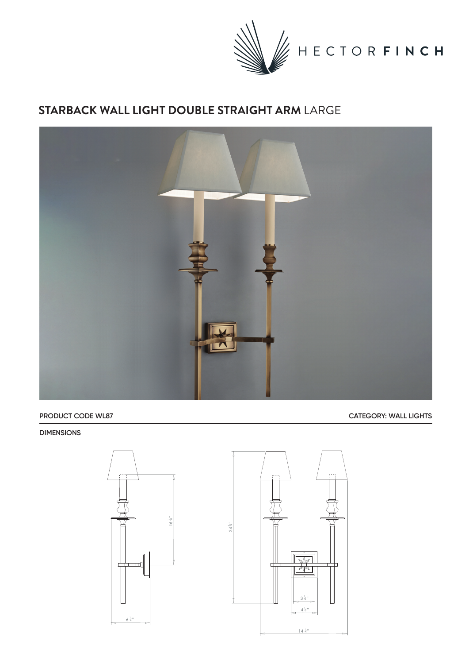

## **STARBACK WALL LIGHT DOUBLE STRAIGHT ARM** LARGE



**PRODUCT CODE WL87 CATEGORY: WALL LIGHTS** 

## **DIMENSIONS**